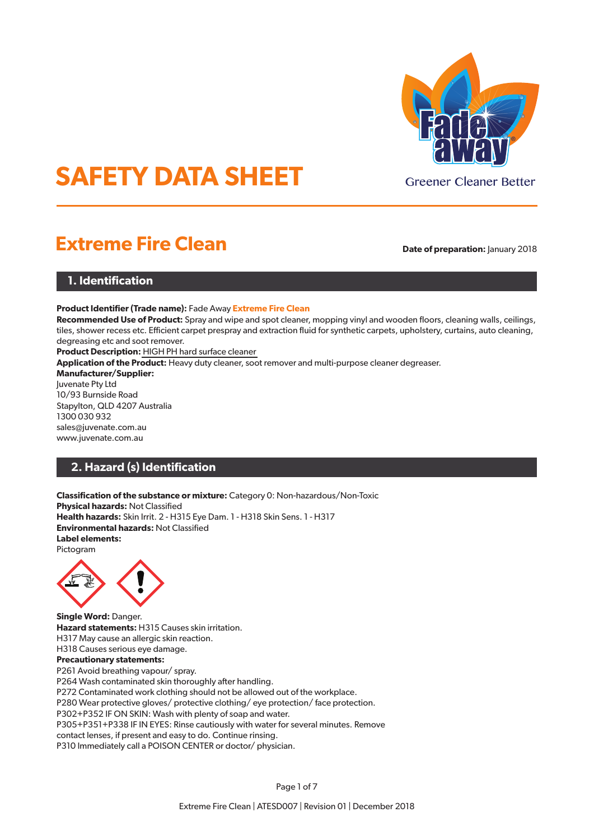

# **SAFETY DATA SHEET**

## **Extreme Fire Clean Date of preparation:** January 2018

## **1. Identification**

**Product Identifier (Trade name):** Fade Away **Extreme Fire Clean**

**Recommended Use of Product:** Spray and wipe and spot cleaner, mopping vinyl and wooden floors, cleaning walls, ceilings, tiles, shower recess etc. Efficient carpet prespray and extraction fluid for synthetic carpets, upholstery, curtains, auto cleaning, degreasing etc and soot remover.

**Product Description:** HIGH PH hard surface cleaner

**Application of the Product:** Heavy duty cleaner, soot remover and multi-purpose cleaner degreaser.

**Manufacturer/Supplier:**

Juvenate Pty Ltd 10/93 Burnside Road Stapylton, QLD 4207 Australia 1300 030 932 sales@juvenate.com.au www.juvenate.com.au

## **2. Hazard (s) Identification**

**Classification of the substance or mixture:** Category 0: Non-hazardous/Non-Toxic **Physical hazards:** Not Classified **Health hazards:** Skin Irrit. 2 - H315 Eye Dam. 1 - H318 Skin Sens. 1 - H317 **Environmental hazards:** Not Classified **Label elements:** Pictogram



**Single Word:** Danger. **Hazard statements:** H315 Causes skin irritation. H317 May cause an allergic skin reaction. H318 Causes serious eye damage. **Precautionary statements:** P261 Avoid breathing vapour/ spray. P264 Wash contaminated skin thoroughly after handling. P272 Contaminated work clothing should not be allowed out of the workplace. P280 Wear protective gloves/ protective clothing/ eye protection/ face protection. P302+P352 IF ON SKIN: Wash with plenty of soap and water. P305+P351+P338 IF IN EYES: Rinse cautiously with water for several minutes. Remove

contact lenses, if present and easy to do. Continue rinsing.

P310 Immediately call a POISON CENTER or doctor/ physician.

Page 1 of 7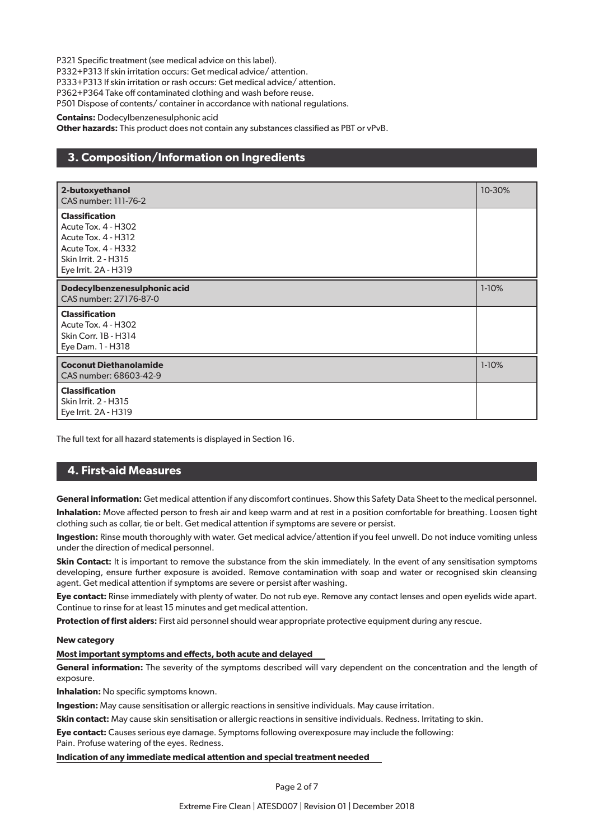P321 Specific treatment (see medical advice on this label).

P332+P313 If skin irritation occurs: Get medical advice/ attention.

P333+P313 If skin irritation or rash occurs: Get medical advice/ attention.

P362+P364 Take off contaminated clothing and wash before reuse.

P501 Dispose of contents/ container in accordance with national regulations.

**Contains:** Dodecylbenzenesulphonic acid

**Other hazards:** This product does not contain any substances classified as PBT or vPvB.

## **3. Composition/Information on Ingredients**

| 2-butoxyethanol<br>CAS number: 111-76-2                                                                                                                         | 10-30%  |
|-----------------------------------------------------------------------------------------------------------------------------------------------------------------|---------|
| <b>Classification</b><br><b>Acute Tox. 4 - H302</b><br><b>Acute Tox. 4 - H312</b><br><b>Acute Tox. 4 - H332</b><br>Skin Irrit. 2 - H315<br>Eye Irrit. 2A - H319 |         |
| Dodecylbenzenesulphonic acid<br>CAS number: 27176-87-0                                                                                                          | $1-10%$ |
| <b>Classification</b><br><b>Acute Tox. 4 - H302</b><br><b>Skin Corr. 1B - H314</b><br>Eye Dam. 1 - H318                                                         |         |
| <b>Coconut Diethanolamide</b><br>CAS number: 68603-42-9                                                                                                         | $1-10%$ |
| <b>Classification</b><br>Skin Irrit. 2 - H315<br>Eye Irrit. 2A - H319                                                                                           |         |

The full text for all hazard statements is displayed in Section 16.

## **4. First-aid Measures**

**General information:** Get medical attention if any discomfort continues. Show this Safety Data Sheet to the medical personnel.

**Inhalation:** Move affected person to fresh air and keep warm and at rest in a position comfortable for breathing. Loosen tight clothing such as collar, tie or belt. Get medical attention if symptoms are severe or persist.

**Ingestion:** Rinse mouth thoroughly with water. Get medical advice/attention if you feel unwell. Do not induce vomiting unless under the direction of medical personnel.

**Skin Contact:** It is important to remove the substance from the skin immediately. In the event of any sensitisation symptoms developing, ensure further exposure is avoided. Remove contamination with soap and water or recognised skin cleansing agent. Get medical attention if symptoms are severe or persist after washing.

**Eye contact:** Rinse immediately with plenty of water. Do not rub eye. Remove any contact lenses and open eyelids wide apart. Continue to rinse for at least 15 minutes and get medical attention.

**Protection of first aiders:** First aid personnel should wear appropriate protective equipment during any rescue.

#### **New category**

#### **Most important symptoms and effects, both acute and delayed**

**General information:** The severity of the symptoms described will vary dependent on the concentration and the length of exposure.

**Inhalation:** No specific symptoms known.

**Ingestion:** May cause sensitisation or allergic reactions in sensitive individuals. May cause irritation.

**Skin contact:** May cause skin sensitisation or allergic reactions in sensitive individuals. Redness. Irritating to skin.

**Eye contact:** Causes serious eye damage. Symptoms following overexposure may include the following: Pain. Profuse watering of the eyes. Redness.

**Indication of any immediate medical attention and special treatment needed**

Page 2 of 7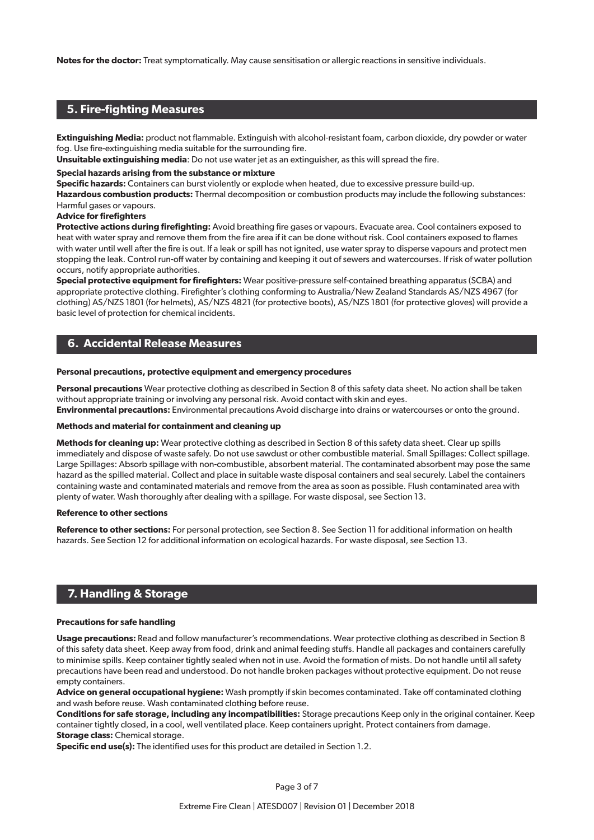**Notes for the doctor:** Treat symptomatically. May cause sensitisation or allergic reactions in sensitive individuals.

## **5. Fire-fighting Measures**

**Extinguishing Media:** product not flammable. Extinguish with alcohol-resistant foam, carbon dioxide, dry powder or water fog. Use fire-extinguishing media suitable for the surrounding fire.

**Unsuitable extinguishing media**: Do not use water jet as an extinguisher, as this will spread the fire.

#### **Special hazards arising from the substance or mixture**

**Specific hazards:** Containers can burst violently or explode when heated, due to excessive pressure build-up.

**Hazardous combustion products:** Thermal decomposition or combustion products may include the following substances: Harmful gases or vapours.

#### **Advice for firefighters**

**Protective actions during firefighting:** Avoid breathing fire gases or vapours. Evacuate area. Cool containers exposed to heat with water spray and remove them from the fire area if it can be done without risk. Cool containers exposed to flames with water until well after the fire is out. If a leak or spill has not ignited, use water spray to disperse vapours and protect men stopping the leak. Control run-off water by containing and keeping it out of sewers and watercourses. If risk of water pollution occurs, notify appropriate authorities.

**Special protective equipment for firefighters:** Wear positive-pressure self-contained breathing apparatus (SCBA) and appropriate protective clothing. Firefighter's clothing conforming to Australia/New Zealand Standards AS/NZS 4967 (for clothing) AS/NZS 1801 (for helmets), AS/NZS 4821 (for protective boots), AS/NZS 1801 (for protective gloves) will provide a basic level of protection for chemical incidents.

## **6. Accidental Release Measures**

#### **Personal precautions, protective equipment and emergency procedures**

**Personal precautions** Wear protective clothing as described in Section 8 of this safety data sheet. No action shall be taken without appropriate training or involving any personal risk. Avoid contact with skin and eyes. **Environmental precautions:** Environmental precautions Avoid discharge into drains or watercourses or onto the ground.

#### **Methods and material for containment and cleaning up**

**Methods for cleaning up:** Wear protective clothing as described in Section 8 of this safety data sheet. Clear up spills immediately and dispose of waste safely. Do not use sawdust or other combustible material. Small Spillages: Collect spillage. Large Spillages: Absorb spillage with non-combustible, absorbent material. The contaminated absorbent may pose the same hazard as the spilled material. Collect and place in suitable waste disposal containers and seal securely. Label the containers containing waste and contaminated materials and remove from the area as soon as possible. Flush contaminated area with plenty of water. Wash thoroughly after dealing with a spillage. For waste disposal, see Section 13.

#### **Reference to other sections**

**Reference to other sections:** For personal protection, see Section 8. See Section 11 for additional information on health hazards. See Section 12 for additional information on ecological hazards. For waste disposal, see Section 13.

### **7. Handling & Storage**

#### **Precautions for safe handling**

**Usage precautions:** Read and follow manufacturer's recommendations. Wear protective clothing as described in Section 8 of this safety data sheet. Keep away from food, drink and animal feeding stuffs. Handle all packages and containers carefully to minimise spills. Keep container tightly sealed when not in use. Avoid the formation of mists. Do not handle until all safety precautions have been read and understood. Do not handle broken packages without protective equipment. Do not reuse empty containers.

**Advice on general occupational hygiene:** Wash promptly if skin becomes contaminated. Take off contaminated clothing and wash before reuse. Wash contaminated clothing before reuse.

**Conditions for safe storage, including any incompatibilities:** Storage precautions Keep only in the original container. Keep container tightly closed, in a cool, well ventilated place. Keep containers upright. Protect containers from damage. **Storage class:** Chemical storage.

**Specific end use(s):** The identified uses for this product are detailed in Section 1.2.

Page 3 of 7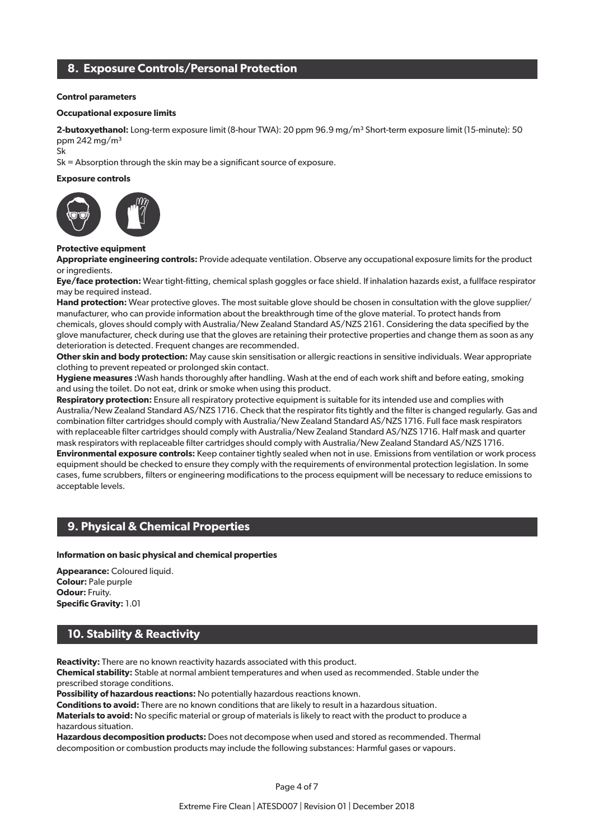## **8. Exposure Controls/Personal Protection**

#### **Control parameters**

#### **Occupational exposure limits**

2-butoxyethanol: Long-term exposure limit (8-hour TWA): 20 ppm 96.9 mg/m<sup>3</sup> Short-term exposure limit (15-minute): 50 ppm 242 mg/m³

Sk

Sk = Absorption through the skin may be a significant source of exposure.

#### **Exposure controls**



#### **Protective equipment**

**Appropriate engineering controls:** Provide adequate ventilation. Observe any occupational exposure limits for the product or ingredients.

**Eye/face protection:** Wear tight-fitting, chemical splash goggles or face shield. If inhalation hazards exist, a fullface respirator may be required instead.

**Hand protection:** Wear protective gloves. The most suitable glove should be chosen in consultation with the glove supplier/ manufacturer, who can provide information about the breakthrough time of the glove material. To protect hands from chemicals, gloves should comply with Australia/New Zealand Standard AS/NZS 2161. Considering the data specified by the glove manufacturer, check during use that the gloves are retaining their protective properties and change them as soon as any deterioration is detected. Frequent changes are recommended.

**Other skin and body protection:** May cause skin sensitisation or allergic reactions in sensitive individuals. Wear appropriate clothing to prevent repeated or prolonged skin contact.

**Hygiene measures :**Wash hands thoroughly after handling. Wash at the end of each work shift and before eating, smoking and using the toilet. Do not eat, drink or smoke when using this product.

**Respiratory protection:** Ensure all respiratory protective equipment is suitable for its intended use and complies with Australia/New Zealand Standard AS/NZS 1716. Check that the respirator fits tightly and the filter is changed regularly. Gas and combination filter cartridges should comply with Australia/New Zealand Standard AS/NZS 1716. Full face mask respirators with replaceable filter cartridges should comply with Australia/New Zealand Standard AS/NZS 1716. Half mask and quarter mask respirators with replaceable filter cartridges should comply with Australia/New Zealand Standard AS/NZS 1716. **Environmental exposure controls:** Keep container tightly sealed when not in use. Emissions from ventilation or work process equipment should be checked to ensure they comply with the requirements of environmental protection legislation. In some cases, fume scrubbers, filters or engineering modifications to the process equipment will be necessary to reduce emissions to acceptable levels.

## **9. Physical & Chemical Properties**

#### **Information on basic physical and chemical properties**

**Appearance:** Coloured liquid. **Colour:** Pale purple **Odour: Fruity. Specific Gravity:** 1.01

## **10. Stability & Reactivity**

**Reactivity:** There are no known reactivity hazards associated with this product.

**Chemical stability:** Stable at normal ambient temperatures and when used as recommended. Stable under the prescribed storage conditions.

**Possibility of hazardous reactions:** No potentially hazardous reactions known.

**Conditions to avoid:** There are no known conditions that are likely to result in a hazardous situation.

**Materials to avoid:** No specific material or group of materials is likely to react with the product to produce a hazardous situation.

**Hazardous decomposition products:** Does not decompose when used and stored as recommended. Thermal decomposition or combustion products may include the following substances: Harmful gases or vapours.

Page 4 of 7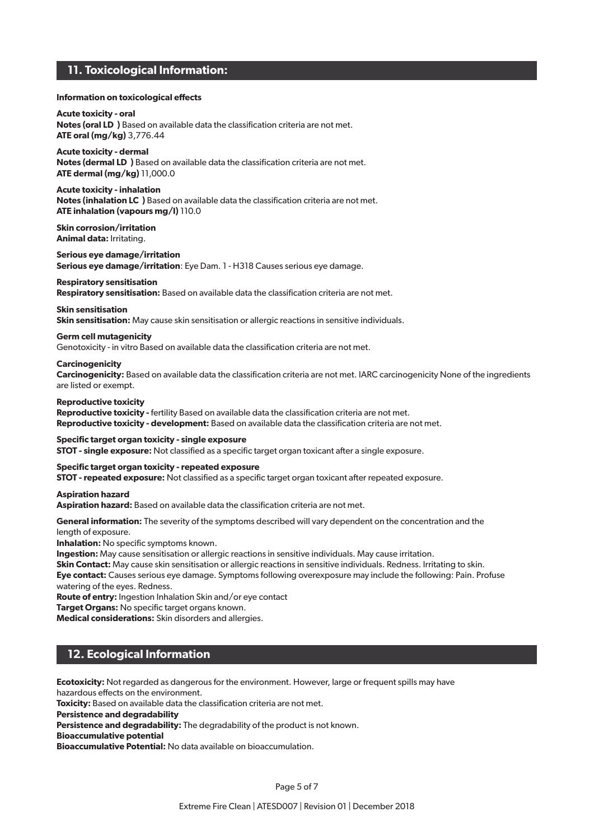## **11. Toxicological Information:**

#### **Information on toxicological effects**

**Acute toxicity - oral Notes (oral LD₅ )** Based on available data the classification criteria are not met. **ATE oral (mg/kg)** 3,776.44

**Acute toxicity - dermal Notes (dermal LD**) Based on available data the classification criteria are not met. **ATE dermal (mg/kg)** 11,000.0

**Acute toxicity - inhalation Notes (inhalation LC**) Based on available data the classification criteria are not met. **ATE inhalation (vapours mg/l)** 110.0

**Skin corrosion/irritation Animal data:** Irritating.

**Serious eye damage/irritation Serious eye damage/irritation**: Eye Dam. 1 - H318 Causes serious eye damage.

#### **Respiratory sensitisation**

**Respiratory sensitisation:** Based on available data the classification criteria are not met.

**Skin sensitisation Skin sensitisation:** May cause skin sensitisation or allergic reactions in sensitive individuals.

#### **Germ cell mutagenicity**

Genotoxicity - in vitro Based on available data the classification criteria are not met.

#### **Carcinogenicity**

**Carcinogenicity:** Based on available data the classification criteria are not met. IARC carcinogenicity None of the ingredients are listed or exempt.

#### **Reproductive toxicity**

Reproductive toxicity - fertility Based on available data the classification criteria are not met. **Reproductive toxicity - development:** Based on available data the classification criteria are not met.

**Specific target organ toxicity - single exposure**

**STOT - single exposure:** Not classified as a specific target organ toxicant after a single exposure.

**Specific target organ toxicity - repeated exposure**

**STOT - repeated exposure:** Not classified as a specific target organ toxicant after repeated exposure.

**Aspiration hazard**

**Aspiration hazard:** Based on available data the classification criteria are not met.

**General information:** The severity of the symptoms described will vary dependent on the concentration and the

length of exposure.

**Inhalation:** No specific symptoms known.

**Ingestion:** May cause sensitisation or allergic reactions in sensitive individuals. May cause irritation.

**Skin Contact:** May cause skin sensitisation or allergic reactions in sensitive individuals. Redness. Irritating to skin. **Eye contact:** Causes serious eye damage. Symptoms following overexposure may include the following: Pain. Profuse

watering of the eyes. Redness.

**Route of entry:** Ingestion Inhalation Skin and/or eye contact

**Target Organs: No specific target organs known.** 

**Medical considerations:** Skin disorders and allergies.

## **12. Ecological Information**

**Ecotoxicity:** Not regarded as dangerous for the environment. However, large or frequent spills may have hazardous effects on the environment.

**Toxicity:** Based on available data the classification criteria are not met.

**Persistence and degradability**

**Persistence and degradability:** The degradability of the product is not known.

**Bioaccumulative potential**

**Bioaccumulative Potential:** No data available on bioaccumulation.

Page 5 of 7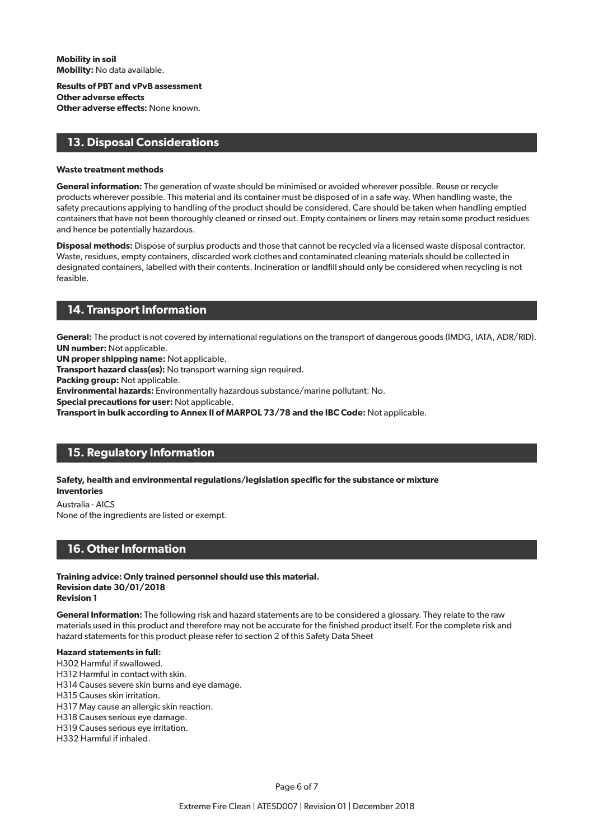**Mobility in soil Mobility:** No data available.

**Results of PBT and vPvB assessment Other adverse effects Other adverse effects:** None known.

## **13. Disposal Considerations**

#### **Waste treatment methods**

**General information:** The generation of waste should be minimised or avoided wherever possible. Reuse or recycle products wherever possible. This material and its container must be disposed of in a safe way. When handling waste, the safety precautions applying to handling of the product should be considered. Care should be taken when handling emptied containers that have not been thoroughly cleaned or rinsed out. Empty containers or liners may retain some product residues and hence be potentially hazardous.

**Disposal methods:** Dispose of surplus products and those that cannot be recycled via a licensed waste disposal contractor. Waste, residues, empty containers, discarded work clothes and contaminated cleaning materials should be collected in designated containers, labelled with their contents. Incineration or landfill should only be considered when recycling is not feasible.

## **14. Transport Information**

**General:** The product is not covered by international regulations on the transport of dangerous goods (IMDG, IATA, ADR/RID). **UN number:** Not applicable.

**UN proper shipping name:** Not applicable.

**Transport hazard class(es):** No transport warning sign required.

**Packing group:** Not applicable.

**Environmental hazards:** Environmentally hazardous substance/marine pollutant: No.

**Special precautions for user:** Not applicable.

**Transport in bulk according to Annex II of MARPOL 73/78 and the IBC Code:** Not applicable.

## **15. Regulatory Information**

**Safety, health and environmental regulations/legislation specific for the substance or mixture Inventories**

Australia - AICS None of the ingredients are listed or exempt.

## **16. Other Information**

**Training advice: Only trained personnel should use this material. Revision date 30/01/2018 Revision 1**

**General Information:** The following risk and hazard statements are to be considered a glossary. They relate to the raw materials used in this product and therefore may not be accurate for the finished product itself. For the complete risk and hazard statements for this product please refer to section 2 of this Safety Data Sheet

#### **Hazard statements in full:**

H302 Harmful if swallowed.

H312 Harmful in contact with skin.

H314 Causes severe skin burns and eye damage.

H315 Causes skin irritation.

H317 May cause an allergic skin reaction.

H318 Causes serious eye damage.

H319 Causes serious eye irritation.

H332 Harmful if inhaled.

Page 6 of 7